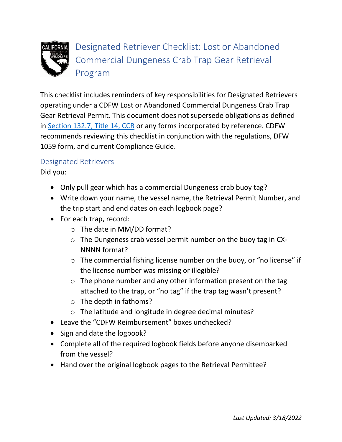

Designated Retriever Checklist: Lost or Abandoned Commercial Dungeness Crab Trap Gear Retrieval Program

This checklist includes reminders of key responsibilities for Designated Retrievers operating under a CDFW Lost or Abandoned Commercial Dungeness Crab Trap Gear Retrieval Permit. This document does not supersede obligations as defined in [Section 132.7, Title 14, CCR](https://govt.westlaw.com/calregs/Document/IC6340CBA3BA24F68A300165CBF2A1390?viewType=FullText&listSource=Search&originationContext=Search+Result&transitionType=SearchItem&contextData=(sc.Search)&navigationPath=Search%2fv1%2fresults%2fnavigation%2fi0ad720f1000001776ef897022bd86e1c%3fNav%3dREGULATION_PUBLICVIEW%26fragmentIdentifier%3dIC6340CBA3BA24F68A300165CBF2A1390%26startIndex%3d1%26transitionType%3dSearchItem%26contextData%3d%2528sc.Default%2529%26originationContext%3dSearch%2520Result&list=REGULATION_PUBLICVIEW&rank=2&t_tocnode=12&t_querytext=132.7) or any forms incorporated by reference. CDFW recommends reviewing this checklist in conjunction with the regulations, DFW 1059 form, and current Compliance Guide.

## Designated Retrievers

Did you:

- Only pull gear which has a commercial Dungeness crab buoy tag?
- Write down your name, the vessel name, the Retrieval Permit Number, and the trip start and end dates on each logbook page?
- For each trap, record:
	- o The date in MM/DD format?
	- o The Dungeness crab vessel permit number on the buoy tag in CX-NNNN format?
	- o The commercial fishing license number on the buoy, or "no license" if the license number was missing or illegible?
	- $\circ$  The phone number and any other information present on the tag attached to the trap, or "no tag" if the trap tag wasn't present?
	- o The depth in fathoms?
	- o The latitude and longitude in degree decimal minutes?
- Leave the "CDFW Reimbursement" boxes unchecked?
- Sign and date the logbook?
- Complete all of the required logbook fields before anyone disembarked from the vessel?
- Hand over the original logbook pages to the Retrieval Permittee?